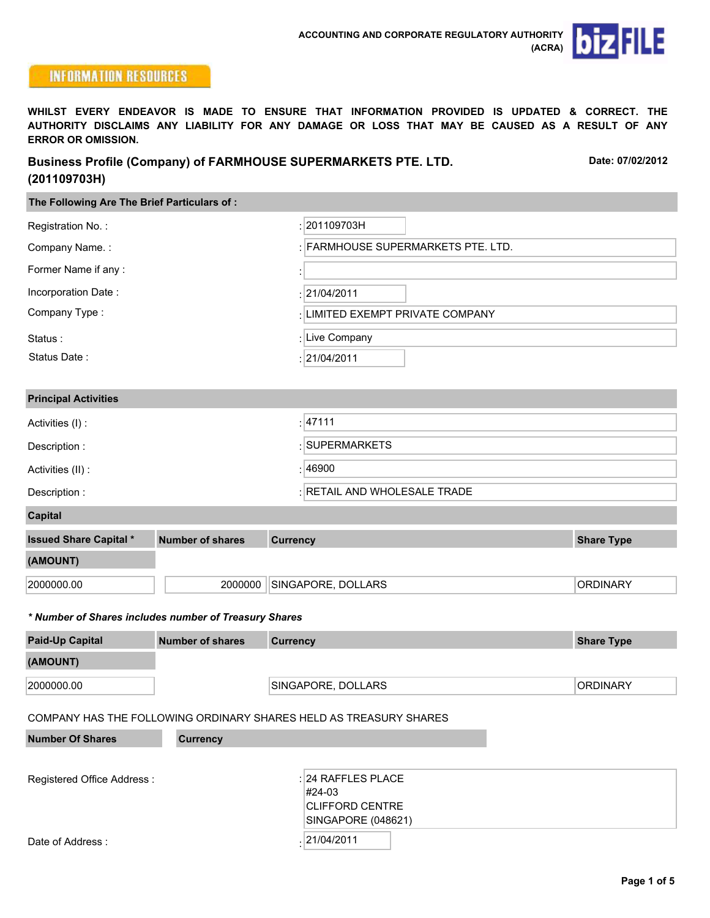

**Date: 07/02/2012**

# **INFORMATION RESOURCES**

**WHILST EVERY ENDEAVOR IS MADE TO ENSURE THAT INFORMATION PROVIDED IS UPDATED & CORRECT. THE AUTHORITY DISCLAIMS ANY LIABILITY FOR ANY DAMAGE OR LOSS THAT MAY BE CAUSED AS A RESULT OF ANY ERROR OR OMISSION.**

| <b>Business Profile (Company) of FARMHOUSE SUPERMARKETS PTE. LTD.</b> |
|-----------------------------------------------------------------------|
| (201109703H)                                                          |

| The Following Are The Brief Particulars of:           |                                                                   |                 |                                  |  |                   |  |  |  |
|-------------------------------------------------------|-------------------------------------------------------------------|-----------------|----------------------------------|--|-------------------|--|--|--|
| Registration No.:                                     |                                                                   |                 | 201109703H                       |  |                   |  |  |  |
| Company Name.:                                        |                                                                   |                 | FARMHOUSE SUPERMARKETS PTE. LTD. |  |                   |  |  |  |
| Former Name if any:                                   |                                                                   |                 |                                  |  |                   |  |  |  |
| Incorporation Date:                                   |                                                                   |                 | 21/04/2011                       |  |                   |  |  |  |
| Company Type:                                         |                                                                   |                 | LIMITED EXEMPT PRIVATE COMPANY   |  |                   |  |  |  |
| Status:                                               |                                                                   |                 | Live Company                     |  |                   |  |  |  |
| Status Date:                                          |                                                                   |                 | : 21/04/2011                     |  |                   |  |  |  |
|                                                       |                                                                   |                 |                                  |  |                   |  |  |  |
| <b>Principal Activities</b>                           |                                                                   |                 |                                  |  |                   |  |  |  |
| Activities (I) :                                      |                                                                   |                 | :  47111                         |  |                   |  |  |  |
| Description:                                          |                                                                   |                 | : SUPERMARKETS                   |  |                   |  |  |  |
| Activities (II) :                                     |                                                                   |                 | : 46900                          |  |                   |  |  |  |
| Description:                                          |                                                                   |                 | RETAIL AND WHOLESALE TRADE       |  |                   |  |  |  |
| <b>Capital</b>                                        |                                                                   |                 |                                  |  |                   |  |  |  |
| <b>Issued Share Capital *</b>                         | <b>Number of shares</b>                                           | <b>Currency</b> |                                  |  | <b>Share Type</b> |  |  |  |
| (AMOUNT)                                              |                                                                   |                 |                                  |  |                   |  |  |  |
| 2000000.00                                            | 2000000                                                           |                 | SINGAPORE, DOLLARS               |  | <b>ORDINARY</b>   |  |  |  |
|                                                       |                                                                   |                 |                                  |  |                   |  |  |  |
| * Number of Shares includes number of Treasury Shares |                                                                   |                 |                                  |  |                   |  |  |  |
| <b>Paid-Up Capital</b>                                | <b>Number of shares</b>                                           | <b>Currency</b> |                                  |  | <b>Share Type</b> |  |  |  |
| (AMOUNT)                                              |                                                                   |                 |                                  |  |                   |  |  |  |
| 2000000.00                                            |                                                                   |                 | SINGAPORE, DOLLARS               |  | <b>ORDINARY</b>   |  |  |  |
|                                                       | COMPANY HAS THE FOLLOWING ORDINARY SHARES HELD AS TREASURY SHARES |                 |                                  |  |                   |  |  |  |
| <b>Number Of Shares</b>                               | <b>Currency</b>                                                   |                 |                                  |  |                   |  |  |  |

| Registered Office Address: | $:$ 24 RAFFLES PLACE<br>#24-03<br> CLIFFORD CENTRE |  |  |
|----------------------------|----------------------------------------------------|--|--|
|                            | SINGAPORE (048621)                                 |  |  |
| Date of Address:           | 21/04/2011                                         |  |  |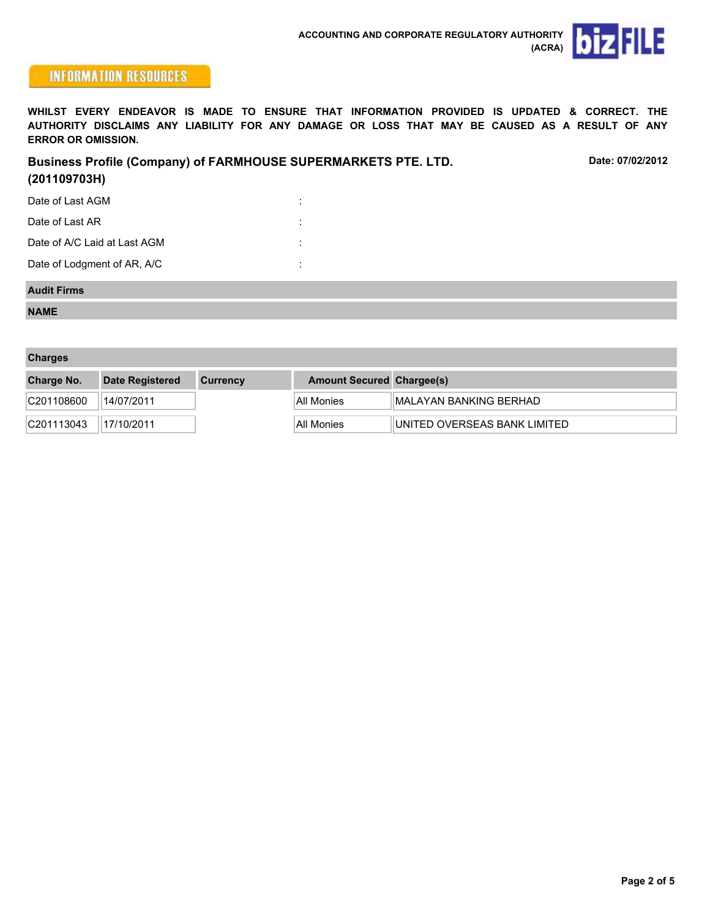

## **INFORMATION RESOURCES**

**WHILST EVERY ENDEAVOR IS MADE TO ENSURE THAT INFORMATION PROVIDED IS UPDATED & CORRECT. THE AUTHORITY DISCLAIMS ANY LIABILITY FOR ANY DAMAGE OR LOSS THAT MAY BE CAUSED AS A RESULT OF ANY ERROR OR OMISSION.**

| <b>Business Profile (Company) of FARMHOUSE SUPERMARKETS PTE. LTD.</b><br>(201109703H) | Date: 07/02/2012 |  |
|---------------------------------------------------------------------------------------|------------------|--|
| Date of Last AGM                                                                      | $\cdot$          |  |
| Date of Last AR                                                                       |                  |  |
| Date of A/C Laid at Last AGM                                                          | $\cdot$          |  |
| Date of Lodgment of AR, A/C                                                           | $\cdot$          |  |

#### **Audit Firms**

**NAME**

| <b>Charges</b> |                        |                 |                                  |                                |  |  |  |  |  |
|----------------|------------------------|-----------------|----------------------------------|--------------------------------|--|--|--|--|--|
| Charge No.     | <b>Date Registered</b> | <b>Currency</b> | <b>Amount Secured Chargee(s)</b> |                                |  |  |  |  |  |
| C201108600     | 14/07/2011             |                 | All Monies                       | <b>IMALAYAN BANKING BERHAD</b> |  |  |  |  |  |
| C201113043     | 17/10/2011             |                 | All Monies                       | UNITED OVERSEAS BANK LIMITED   |  |  |  |  |  |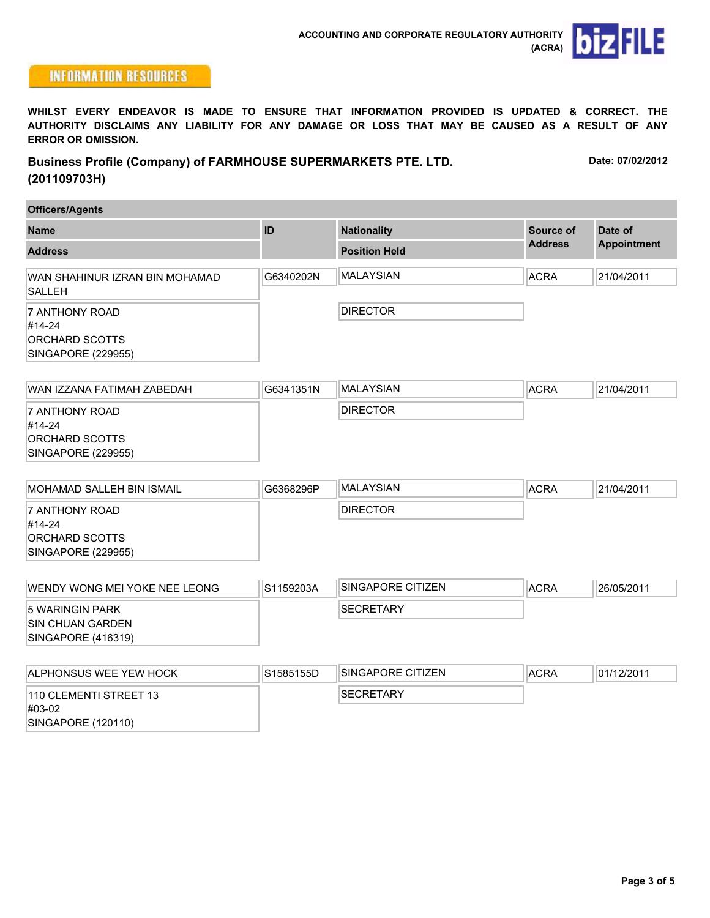

## **INFORMATION RESOURCES**

**WHILST EVERY ENDEAVOR IS MADE TO ENSURE THAT INFORMATION PROVIDED IS UPDATED & CORRECT. THE AUTHORITY DISCLAIMS ANY LIABILITY FOR ANY DAMAGE OR LOSS THAT MAY BE CAUSED AS A RESULT OF ANY ERROR OR OMISSION.**

**Business Profile (Company) of FARMHOUSE SUPERMARKETS PTE. LTD. (201109703H) Date: 07/02/2012**

| <b>Officers/Agents</b>                                           |           |                      |                |                    |  |  |  |
|------------------------------------------------------------------|-----------|----------------------|----------------|--------------------|--|--|--|
| <b>Name</b>                                                      | ID        | <b>Nationality</b>   | Source of      | Date of            |  |  |  |
| <b>Address</b>                                                   |           | <b>Position Held</b> | <b>Address</b> | <b>Appointment</b> |  |  |  |
| WAN SHAHINUR IZRAN BIN MOHAMAD<br><b>SALLEH</b>                  | G6340202N | <b>MALAYSIAN</b>     | <b>ACRA</b>    | 21/04/2011         |  |  |  |
| 7 ANTHONY ROAD<br>#14-24<br>ORCHARD SCOTTS<br>SINGAPORE (229955) |           | <b>DIRECTOR</b>      |                |                    |  |  |  |

| WAN IZZANA FATIMAH ZABEDAH                   | G6341351N | <b>MALAYSIAN</b> | <b>ACRA</b> | 21/04/2011 |
|----------------------------------------------|-----------|------------------|-------------|------------|
| 17 ANTHONY ROAD<br>#14-24<br> ORCHARD SCOTTS |           | <b>DIRECTOR</b>  |             |            |
| SINGAPORE (229955)                           |           |                  |             |            |

| MOHAMAD SALLEH BIN ISMAIL | G6368296P | <b>IMALAYSIAN</b> | <b>ACRA</b> | 21/04/2011 |
|---------------------------|-----------|-------------------|-------------|------------|
| 17 ANTHONY ROAD           |           | <b>DIRECTOR</b>   |             |            |
| #14-24                    |           |                   |             |            |
| ORCHARD SCOTTS            |           |                   |             |            |
| SINGAPORE (229955)        |           |                   |             |            |

| IWENDY WONG MEI YOKE NEE LEONG | IS1159203A | ISINGAPORE CITIZEN | <b>ACRA</b> | 26/05/2011 |
|--------------------------------|------------|--------------------|-------------|------------|
| 15 WARINGIN PARK               |            | <b>ISECRETARY</b>  |             |            |
| ISIN CHUAN GARDEN              |            |                    |             |            |
| SINGAPORE (416319)             |            |                    |             |            |

| <b>IALPHONSUS WEE YEW HOCK</b>       | S1585155D | ISINGAPORE CITIZEN | ACRA | 01/12/2011 |
|--------------------------------------|-----------|--------------------|------|------------|
| 1110 CLEMENTI STREET 13<br>$\#03-02$ |           | <b>ISECRETARY</b>  |      |            |
| SINGAPORE (120110)                   |           |                    |      |            |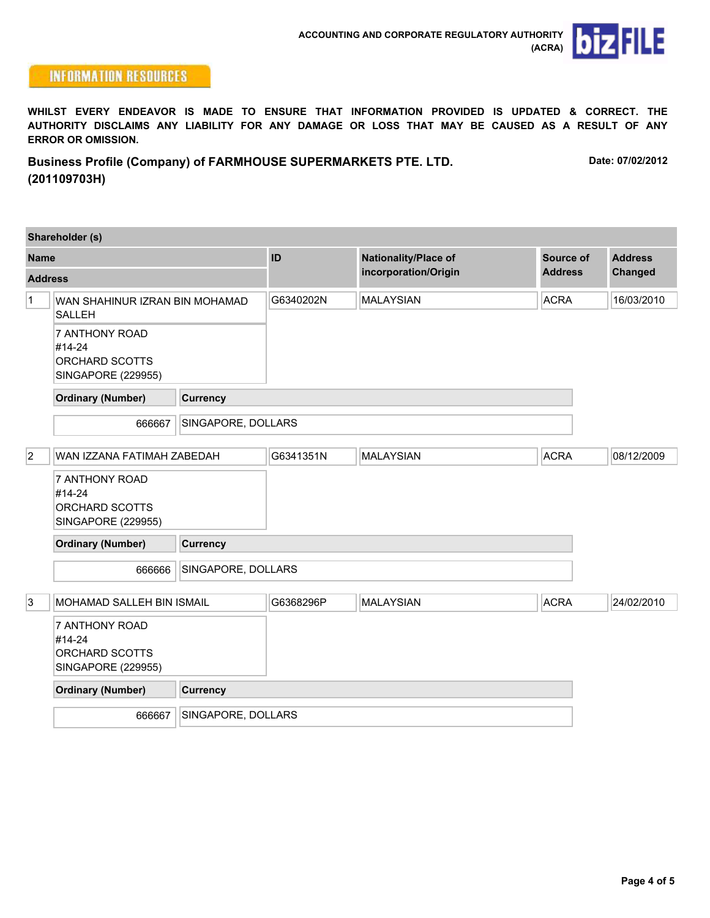

### **INFORMATION RESOURCES**

**WHILST EVERY ENDEAVOR IS MADE TO ENSURE THAT INFORMATION PROVIDED IS UPDATED & CORRECT. THE AUTHORITY DISCLAIMS ANY LIABILITY FOR ANY DAMAGE OR LOSS THAT MAY BE CAUSED AS A RESULT OF ANY ERROR OR OMISSION.**

**Business Profile (Company) of FARMHOUSE SUPERMARKETS PTE. LTD. (201109703H) Date: 07/02/2012**

|                | Shareholder (s)                                                         |                    |                                              |                             |                           |            |
|----------------|-------------------------------------------------------------------------|--------------------|----------------------------------------------|-----------------------------|---------------------------|------------|
| <b>Name</b>    |                                                                         | ID                 | Nationality/Place of<br>incorporation/Origin | Source of<br><b>Address</b> | <b>Address</b><br>Changed |            |
| <b>Address</b> |                                                                         |                    |                                              |                             |                           |            |
| $\mathbf{1}$   | WAN SHAHINUR IZRAN BIN MOHAMAD<br><b>SALLEH</b>                         |                    | G6340202N                                    | <b>MALAYSIAN</b>            | <b>ACRA</b>               | 16/03/2010 |
|                | <b>7 ANTHONY ROAD</b><br>#14-24<br>ORCHARD SCOTTS<br>SINGAPORE (229955) |                    |                                              |                             |                           |            |
|                | <b>Ordinary (Number)</b>                                                | <b>Currency</b>    |                                              |                             |                           |            |
|                | 666667                                                                  | SINGAPORE, DOLLARS |                                              |                             |                           |            |
| $ 2\rangle$    | WAN IZZANA FATIMAH ZABEDAH                                              |                    | G6341351N                                    | <b>MAI AYSIAN</b>           | <b>ACRA</b>               | 08/12/2009 |
|                | <b>7 ANTHONY ROAD</b><br>#14-24<br>ORCHARD SCOTTS<br>SINGAPORE (229955) |                    |                                              |                             |                           |            |
|                | <b>Ordinary (Number)</b>                                                | <b>Currency</b>    |                                              |                             |                           |            |
|                | 666666                                                                  | SINGAPORE, DOLLARS |                                              |                             |                           |            |
| 3              | MOHAMAD SALLEH BIN ISMAIL                                               |                    | G6368296P                                    | <b>MALAYSIAN</b>            | <b>ACRA</b>               | 24/02/2010 |
|                | 7 ANTHONY ROAD<br>#14-24<br>ORCHARD SCOTTS<br><b>SINGAPORE (229955)</b> |                    |                                              |                             |                           |            |
|                | <b>Ordinary (Number)</b>                                                | <b>Currency</b>    |                                              |                             |                           |            |
|                | 666667                                                                  | SINGAPORE, DOLLARS |                                              |                             |                           |            |